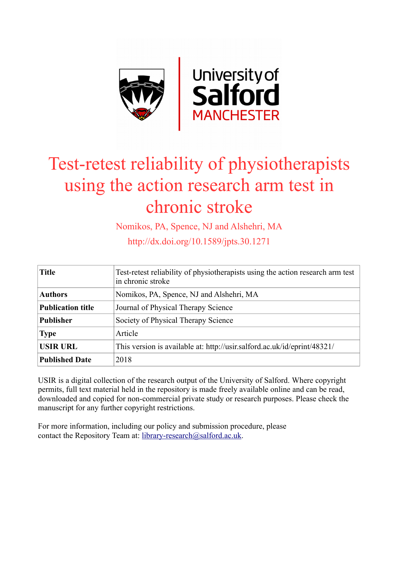

# Test-retest reliability of physiotherapists using the action research arm test in chronic stroke

Nomikos, PA, Spence, NJ and Alshehri, MA

http://dx.doi.org/10.1589/jpts.30.1271

| <b>Title</b>             | Test-retest reliability of physiotherapists using the action research arm test<br>in chronic stroke |
|--------------------------|-----------------------------------------------------------------------------------------------------|
| <b>Authors</b>           | Nomikos, PA, Spence, NJ and Alshehri, MA                                                            |
| <b>Publication title</b> | Journal of Physical Therapy Science                                                                 |
| <b>Publisher</b>         | Society of Physical Therapy Science                                                                 |
| <b>Type</b>              | Article                                                                                             |
| <b>USIR URL</b>          | This version is available at: http://usir.salford.ac.uk/id/eprint/48321/                            |
| <b>Published Date</b>    | 2018                                                                                                |

USIR is a digital collection of the research output of the University of Salford. Where copyright permits, full text material held in the repository is made freely available online and can be read, downloaded and copied for non-commercial private study or research purposes. Please check the manuscript for any further copyright restrictions.

For more information, including our policy and submission procedure, please contact the Repository Team at: [library-research@salford.ac.uk.](mailto:library-research@salford.ac.uk)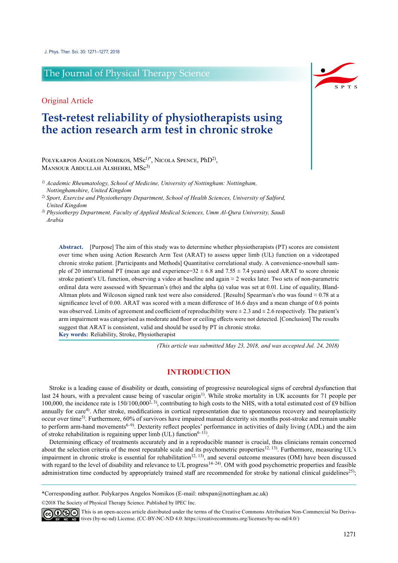# The Journal of Physical Therapy Science

# Original Article

# **Test-retest reliability of physiotherapists using the action research arm test in chronic stroke**

POLYKARPOS ANGELOS NOMIKOS, MSc<sup>1)\*</sup>, NICOLA SPENCE, PhD<sup>2</sup>), MANSOUR ABDULLAH ALSHEHRI, MSc<sup>3)</sup>

*1) Academic Rheumatology, School of Medicine, University of Nottingham: Nottingham, Nottinghamshire, United Kingdom*

*2) Sport, Exercise and Physiotherapy Department, School of Health Sciences, University of Salford, United Kingdom*

*3) Physiotherpy Department, Faculty of Applied Medical Sciences, Umm Al-Qura University, Saudi Arabia*

**Abstract.** [Purpose] The aim of this study was to determine whether physiotherapists (PT) scores are consistent over time when using Action Research Arm Test (ARAT) to assess upper limb (UL) function on a videotaped chronic stroke patient. [Participants and Methods] Quantitative correlational study. A convenience-snowball sample of 20 international PT (mean age and experience= $32 \pm 6.8$  and  $7.55 \pm 7.4$  years) used ARAT to score chronic stroke patient's UL function, observing a video at baseline and again ≈ 2 weeks later. Two sets of non-parametric ordinal data were assessed with Spearman's (rho) and the alpha (a) value was set at 0.01. Line of equality, Bland-Altman plots and Wilcoxon signed rank test were also considered. [Results] Spearman's rho was found ≈ 0.78 at a significance level of 0.00. ARAT was scored with a mean difference of 16.6 days and a mean change of 0.6 points was observed. Limits of agreement and coefficient of reproducibility were  $\pm 2.3$  and  $\pm 2.6$  respectively. The patient's arm impairment was categorised as moderate and floor or ceiling effects were not detected. [Conclusion] The results suggest that ARAT is consistent, valid and should be used by PT in chronic stroke. **Key words:** Reliability, Stroke, Physiotherapist

*(This article was submitted May 23, 2018, and was accepted Jul. 24, 2018)*

## **INTRODUCTION**

Stroke is a leading cause of disability or death, consisting of progressive neurological signs of cerebral dysfunction that last 24 hours, with a prevalent cause being of vascular origin<sup>1)</sup>. While stroke mortality in UK accounts for 71 people per 100,000, the incidence rate is  $150/100,000^{2.3}$ , contributing to high costs to the NHS, with a total estimated cost of £9 billion annually for care<sup>4)</sup>. After stroke, modifications in cortical representation due to spontaneous recovery and neuroplasticity occur over time[5](#page-6-3)) . Furthermore, 60% of survivors have impaired manual dexterity six months post-stroke and remain unable to perform arm-hand movements<sup>[6–9](#page-6-4))</sup>. Dexterity reflect peoples' performance in activities of daily living (ADL) and the aim of stroke rehabilitation is regaining upper limb (UL) function<sup>6-11)</sup>.

Determining efficacy of treatments accurately and in a reproducible manner is crucial, thus clinicians remain concerned about the selection criteria of the most repeatable scale and its psychometric properties<sup>12, 13</sup>). Furthermore, measuring UL's impairment in chronic stroke is essential for rehabilitation<sup>12, 13</sup>), and several outcome measures (OM) have been discussed with regard to the level of disability and relevance to UL progress<sup>[14–24](#page-6-6)</sup>). OM with good psychometric properties and feasible administration time conducted by appropriately trained staff are recommended for stroke by national clinical guidelines $25$ );

\*Corresponding author. Polykarpos Angelos Nomikos (E-mail: mbxpan@nottingham.ac.uk)

©2018 The Society of Physical Therapy Science. Published by IPEC Inc.



 $\widehat{\mathbb{G}(\mathbf{0})}$  This is an open-access article distributed under the terms of the Creative Commons Attribution Non-Commercial No Derivatives (by-nc-nd) License. (CC-BY-NC-ND 4.0:<https://creativecommons.org/licenses/by-nc-nd/4.0/>)

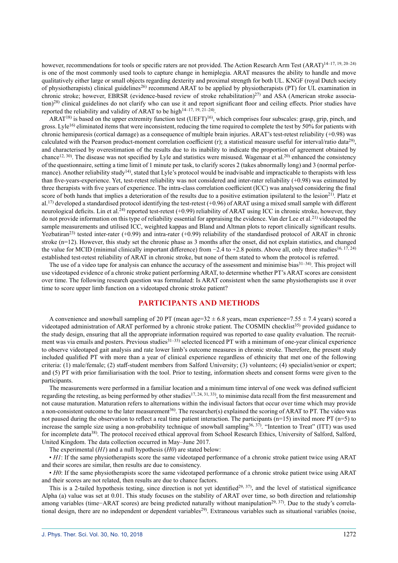however, recommendations for tools or specific raters are not provided. The Action Research Arm Test (ARAT)<sup>14-17, 19, 20-24)</sup> is one of the most commonly used tools to capture change in hemiplegia. ARAT measures the ability to handle and move qualitatively either large or small objects regarding dexterity and proximal strength for both UL. KNGF (royal Dutch society of physiotherapists) clinical guidelines<sup>[26](#page-7-1)</sup> recommend ARAT to be applied by physiotherapists (PT) for UL examination in chronic stroke; however, EBRSR (evidence-based review of stroke rehabilitation) $^{27}$  and ASA (American stroke association)<sup>28)</sup> clinical guidelines do not clarify who can use it and report significant floor and ceiling effects. Prior studies have reported the reliability and validity of ARAT to be high $14-17$ ,  $19$ ,  $21-24$ ).

 $ARAT^{18}$  $ARAT^{18}$  $ARAT^{18}$  is based on the upper extremity function test (UEFT)<sup>[16](#page-6-8)</sup>), which comprises four subscales: grasp, grip, pinch, and gross. Lyle<sup>[16](#page-6-8))</sup> eliminated items that were inconsistent, reducing the time required to complete the test by 50% for patients with chronic hemiparesis (cortical damage) as a consequence of multiple brain injuries. ARAT's test-retest reliability (+0.98) was calculated with the Pearson product-moment correlation coefficient (r); a statistical measure useful for interval/ratio data<sup>[29](#page-7-4))</sup>, and characterised by overestimation of the results due to its inability to indicate the proportion of agreement obtained by chance<sup>[12, 30](#page-6-5)</sup>). The disease was not specified by Lyle and statistics were misused. Wagenaar et al.<sup>20</sup>) enhanced the consistency of the questionnaire, setting a time limit of 1 minute per task, to clarify scores 2 (takes abnormally long) and 3 (normal performance). Another reliability study<sup>14</sup>), stated that Lyle's protocol would be inadvisable and impracticable to therapists with less than five-years-experience. Yet, test-retest reliability was not considered and inter-rater reliability (+0.98) was estimated by three therapists with five years of experience. The intra-class correlation coefficient (ICC) was analysed considering the final score of both hands that implies a deterioration of the results due to a positive estimation ipsilateral to the lesion<sup>[21](#page-6-10))</sup>. Platz et al.<sup>[17](#page-6-11)</sup> developed a standardised protocol identifying the test-retest  $(+0.96)$  of ARAT using a mixed small sample with different neurological deficits. Lin et al.<sup>[24](#page-7-5))</sup> reported test-retest (+0.99) reliability of ARAT using ICC in chronic stroke, however, they do not provide information on this type of reliability essential for appraising the evidence. Van der Lee et al.<sup>[21](#page-6-10)</sup>) videotaped the sample measurements and utilised ICC, weighted kappas and Bland and Altman plots to report clinically significant results. Yozbatiran<sup>[23](#page-6-12))</sup> tested inter-rater  $(+0.99)$  and intra-rater  $(+0.99)$  reliability of the standardised protocol of ARAT in chronic stroke (n=12). However, this study set the chronic phase as 3 months after the onset, did not explain statistics, and changed the value for MCID (minimal clinically important difference) from  $-2.4$  to  $+2.8$  points. Above all, only three studies<sup>[16, 17, 24\)](#page-6-8)</sup> established test-retest reliability of ARAT in chronic stroke, but none of them stated to whom the protocol is referred.

The use of a video tape for analysis can enhance the accuracy of the assessment and minimise bias<sup>31–34</sup>). This project will use videotaped evidence of a chronic stroke patient performing ARAT, to determine whether PT's ARAT scores are consistent over time. The following research question was formulated: Is ARAT consistent when the same physiotherapists use it over time to score upper limb function on a videotaped chronic stroke patient?

# **PARTICIPANTS AND METHODS**

A convenience and snowball sampling of 20 PT (mean age= $32 \pm 6.8$  years, mean experience=7.55  $\pm$  7.4 years) scored a videotaped administration of ARAT performed by a chronic stroke patient. The COSMIN checklist<sup>[35](#page-7-7))</sup> provided guidance to the study design, ensuring that all the appropriate information required was reported to ease quality evaluation. The recruit-ment was via emails and posters. Previous studies<sup>[31–33](#page-7-6)</sup> selected licenced PT with a minimum of one-year clinical experience to observe videotaped gait analysis and rate lower limb's outcome measures in chronic stroke. Therefore, the present study included qualified PT with more than a year of clinical experience regardless of ethnicity that met one of the following criteria: (1) male/female; (2) staff-student members from Salford University; (3) volunteers; (4) specialist/senior or expert; and (5) PT with prior familiarisation with the tool. Prior to testing, information sheets and consent forms were given to the participants.

The measurements were performed in a familiar location and a minimum time interval of one week was defined sufficient regarding the retesting, as being performed by other studies<sup>[17, 24, 31, 33](#page-6-11))</sup>, to minimise data recall from the first measurement and not cause maturation. Maturation refers to alternations within the indivisual factors that occur over time which may provide a non-consistent outcome to the later measurement<sup>[36](#page-7-8)</sup>. The researcher(s) explained the scoring of ARAT to PT. The video was not paused during the observation to reflect a real time patient interaction. The participants  $(n=15)$  invited more PT  $(n=5)$  to increase the sample size using a non-probability technique of snowball sampling<sup>36, 37</sup>). "Intention to Treat" (ITT) was used for incomplete data<sup>[38](#page-7-9))</sup>. The protocol received ethical approval from School Research Ethics, University of Salford, Salford, United Kingdom. The data collection occurred in May–June 2017.

The experimental (*H1*) and a null hypothesis (*H0*) are stated below:

• *H1*: If the same physiotherapists score the same videotaped performance of a chronic stroke patient twice using ARAT and their scores are similar, then results are due to consistency.

• *H0*: If the same physiotherapists score the same videotaped performance of a chronic stroke patient twice using ARAT and their scores are not related, then results are due to chance factors.

This is a 2-tailed hypothesis testing, since direction is not yet identified<sup>[29, 37](#page-7-4)</sup>), and the level of statistical significance Alpha (a) value was set at 0.01. This study focuses on the stability of ARAT over time, so both direction and relationship among variables (time−ARAT scores) are being predicted naturally without manipulation<sup>[29, 37\)](#page-7-4)</sup>. Due to the study's correla-tional design, there are no independent or dependent variables<sup>[29](#page-7-4)</sup>). Extraneous variables such as situational variables (noise,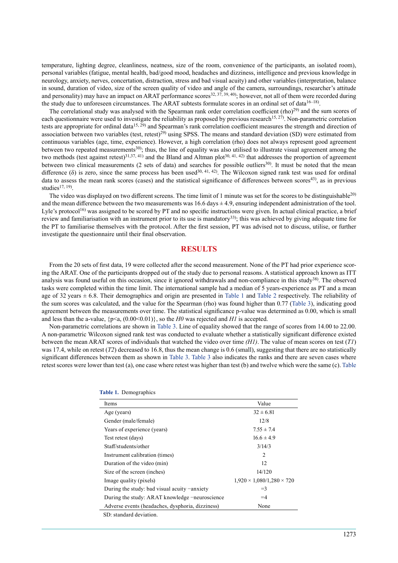temperature, lighting degree, cleanliness, neatness, size of the room, convenience of the participants, an isolated room), personal variables (fatigue, mental health, bad/good mood, headaches and dizziness, intelligence and previous knowledge in neurology, anxiety, nerves, concertation, distraction, stress and bad visual acuity) and other variables (interpretation, balance in sound, duration of video, size of the screen quality of video and angle of the camera, surroundings, researcher's attitude and personality) may have an impact on ARAT performance scores<sup>[32, 37, 39, 40](#page-7-10)</sup>); however, not all of them were recorded during the study due to unforeseen circumstances. The ARAT subtests formulate scores in an ordinal set of data<sup>[16–18](#page-6-8)</sup>).

The correlational study was analysed with the Spearman rank order correlation coefficient (rho)<sup>[29](#page-7-4))</sup> and the sum scores of each questionnaire were used to investigate the reliability as proposed by previous research<sup>15, 27</sup>). Non-parametric correlation tests are appropriate for ordinal data<sup>[15, 29](#page-6-13)</sup>) and Spearman's rank correlation coefficient measures the strength and direction of association between two variables (test, retest)<sup>[29\)](#page-7-4)</sup> using SPSS. The means and standard deviation (SD) were estimated from continuous variables (age, time, experience). However, a high correlation (rho) does not always represent good agreement between two repeated measurements<sup>[30](#page-7-11)</sup>; thus, the line of equality was also utilised to illustrate visual agreement among the two methods (test against retest)<sup>31,37, 41</sup>) and the Bland and Altman plot<sup>30, 41, 42</sup>) that addresses the proportion of agreement between two clinical measurements (2 sets of data) and searches for possible outliers<sup>30</sup>). It must be noted that the mean difference ( $\delta$ ) is zero, since the same process has been used<sup>30, 41, 42</sup>). The Wilcoxon signed rank test was used for ordinal data to assess the mean rank scores (cases) and the statistical significance of differences between scores<sup>[43](#page-7-12)</sup>), as in previous studies $17, 19$ .

The video was displayed on two different screens. The time limit of 1 minute was set for the scores to be distinguishable<sup>[20\)](#page-6-9)</sup> and the mean difference between the two measurements was  $16.6 \text{ days} \pm 4.9$ , ensuring independent administration of the tool. Lyle's protocol<sup>[16](#page-6-8)</sup> was assigned to be scored by PT and no specific instructions were given. In actual clinical practice, a brief review and familiarisation with an instrument prior to its use is mandatory<sup>[33](#page-7-13))</sup>; this was achieved by giving adequate time for the PT to familiarise themselves with the protocol. After the first session, PT was advised not to discuss, utilise, or further investigate the questionnaire until their final observation.

#### **RESULTS**

From the 20 sets of first data, 19 were collected after the second measurement. None of the PT had prior experience scoring the ARAT. One of the participants dropped out of the study due to personal reasons. A statistical approach known as ITT analysis was found useful on this occasion, since it ignored withdrawals and non-compliance in this study<sup>[38](#page-7-9))</sup>. The observed tasks were completed within the time limit. The international sample had a median of 5 years-experience as PT and a mean age of 32 years  $\pm$  6.8. Their demographics and origin are presented in Table 1 and Table 2 respectively. The reliability of the sum scores was calculated, and the value for the Spearman (rho) was found higher than 0.77 (Table 3), indicating good agreement between the measurements over time. The statistical significance p-value was determined as 0.00, which is small and less than the a-value,  $\{p \le a, (0.00 \le 0.01)\}$ , so the *H0* was rejected and *H1* is accepted.

Non-parametric correlations are shown in Table 3. Line of equality showed that the range of scores from 14.00 to 22.00. A non-parametric Wilcoxon signed rank test was conducted to evaluate whether a statistically significant difference existed between the mean ARAT scores of individuals that watched the video over time *(H1)*. The value of mean scores on test (*T1*) was 17.4, while on retest  $(T2)$  decreased to 16.8, thus the mean change is 0.6 (small), suggesting that there are no statistically significant differences between them as shown in Table 3. Table 3 also indicates the ranks and there are seven cases where retest scores were lower than test (a), one case where retest was higher than test (b) and twelve which were the same (c). Table

| Items                                                 | Value                                 |  |  |
|-------------------------------------------------------|---------------------------------------|--|--|
| Age (years)                                           | $32 \pm 6.81$                         |  |  |
| Gender (male/female)                                  | 12/8                                  |  |  |
| Years of experience (years)                           | $7.55 \pm 7.4$                        |  |  |
| Test retest (days)                                    | $16.6 \pm 4.9$                        |  |  |
| Staff/students/other                                  | 3/14/3                                |  |  |
| Instrument calibration (times)                        | $\overline{c}$                        |  |  |
| Duration of the video (min)                           | 12                                    |  |  |
| Size of the screen (inches)                           | 14/120                                |  |  |
| Image quality (pixels)                                | $1,920 \times 1,080/1,280 \times 720$ |  |  |
| During the study: bad visual acuity $\text{-anxiety}$ | $=$ 3                                 |  |  |
| During the study: ARAT knowledge –neuroscience        | $=4$                                  |  |  |
| Adverse events (headaches, dysphoria, dizziness)      | None                                  |  |  |
| SD: standard deviation.                               |                                       |  |  |

|  | <b>Table 1.</b> Demographics |
|--|------------------------------|
|  |                              |
|  |                              |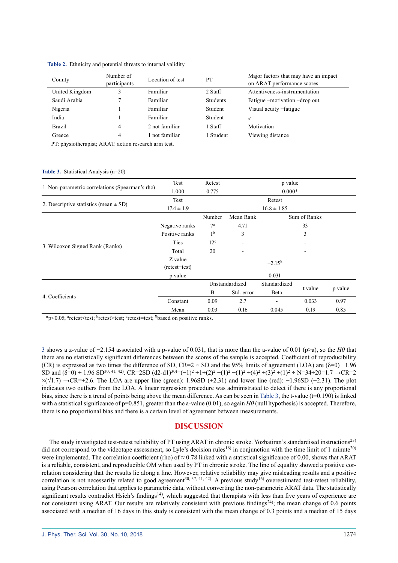| County         | Number of<br>participants | Location of test | PT        | Major factors that may have an impact<br>on ARAT performance scores |
|----------------|---------------------------|------------------|-----------|---------------------------------------------------------------------|
| United Kingdom |                           | Familiar         | 2 Staff   | Attentiveness-instrumentation                                       |
| Saudi Arabia   |                           | Familiar         | Students  | Fatigue -motivation -drop out                                       |
| Nigeria        |                           | Familiar         | Student   | Visual acuity -fatigue                                              |
| India          |                           | Familiar         | Student   |                                                                     |
| <b>Brazil</b>  | 4                         | 2 not familiar   | 1 Staff   | Motivation                                                          |
| Greece         | 4                         | not familiar     | l Student | Viewing distance                                                    |

**Table 2.** Ethnicity and potential threats to internal validity

PT: physiotherapist; ARAT: action research arm test.

#### **Table 3.** Statistical Analysis (n=20)

|                                                 | Test                     | Retest           | p value         |              |         |         |
|-------------------------------------------------|--------------------------|------------------|-----------------|--------------|---------|---------|
| 1. Non-parametric correlations (Spearman's rho) | 1.000                    | 0.775            | $0.000*$        |              |         |         |
|                                                 | Test                     |                  | Retest          |              |         |         |
| 2. Descriptive statistics (mean $\pm$ SD)       | $17.4 \pm 1.9$           |                  | $16.8 \pm 1.85$ |              |         |         |
|                                                 |                          | Number           | Mean Rank       | Sum of Ranks |         |         |
|                                                 | Negative ranks           | $7^{\mathrm{a}}$ | 4.71            |              | 33      |         |
|                                                 | Positive ranks           | 1 <sup>b</sup>   | 3               |              | 3       |         |
| 3. Wilcoxon Signed Rank (Ranks)                 | Ties                     | 12 <sup>c</sup>  |                 |              |         |         |
|                                                 | Total                    | 20               |                 |              |         |         |
|                                                 | Z value<br>(retest-test) |                  |                 | $-2.15*$     |         |         |
|                                                 | p value                  |                  |                 | 0.031        |         |         |
|                                                 |                          | Unstandardized   |                 | Standardized |         |         |
| 4. Coefficients                                 |                          | B                | Std. error      | Beta         | t value | p value |
|                                                 | Constant                 | 0.09             | 2.7             |              | 0.033   | 0.97    |
|                                                 | Mean                     | 0.03             | 0.16            | 0.045        | 0.19    | 0.85    |

\*p<0.05; aretest<test; bretest>test; cretest=test; ¥based on positive ranks.

3 shows a z-value of −2.154 associated with a p-value of 0.031, that is more than the a-value of 0.01 (p>a), so the *H0* that there are no statistically significant differences between the scores of the sample is accepted. Coefficient of reproducibility (CR) is expressed as two times the difference of SD, CR=2 × SD and the 95% limits of agreement (LOA) are ( $\delta$ =0) −1.96 SD and  $(\delta=0)$  + 1.96 SD<sup>30, 41, 42</sup>). CR=2SD  $(d2-d1)^{30}$ =(-1)<sup>2</sup> +1+(2)<sup>2</sup> +(1)<sup>2</sup> +(4)<sup>2</sup> +(4)<sup>2</sup> +(3)<sup>2</sup> +(1)<sup>2</sup> ÷ N=34÷20=1.7 →CR=2  $\times$ ( $\sqrt{1.7}$ ) →CR= $\pm$ 2.6. The LOA are upper line (green): 1.96SD (+2.31) and lower line (red): −1.96SD (−2.31). The plot indicates two outliers from the LOA. A linear regression procedure was administrated to detect if there is any proportional bias, since there is a trend of points being above the mean difference. As can be seen in Table 3, the t-value (t=0.190) is linked with a statistical significance of  $p=0.851$ , greater than the a-value  $(0.01)$ , so again *H0* (null hypothesis) is accepted. Therefore, there is no proportional bias and there is a certain level of agreement between measurements.

#### **DISCUSSION**

The study investigated test-retest reliability of PT using ARAT in chronic stroke. Yozbatiran's standardised instructions[23\)](#page-6-12) did not correspond to the videotape assessment, so Lyle's decision rules<sup>16)</sup> in conjunction with the time limit of 1 minute<sup>20)</sup> were implemented. The correlation coefficient (rho) of  $\approx 0.78$  linked with a statistical significance of 0.00, shows that ARAT is a reliable, consistent, and reproducible OM when used by PT in chronic stroke. The line of equality showed a positive correlation considering that the results lie along a line. However, relative reliability may give misleading results and a positive correlation is not necessarily related to good agreement<sup>30, 37, 41, 42</sup>). A previous study<sup>16</sup> overestimated test-retest reliability, using Pearson correlation that applies to parametric data, without converting the non-parametric ARAT data. The statistically significant results contradict Hsieh's findings<sup>14</sup>), which suggested that therapists with less than five years of experience are not consistent using ARAT. Our results are relatively consistent with previous findings<sup>[24\)](#page-7-5)</sup>; the mean change of 0.6 points associated with a median of 16 days in this study is consistent with the mean change of 0.3 points and a median of 15 days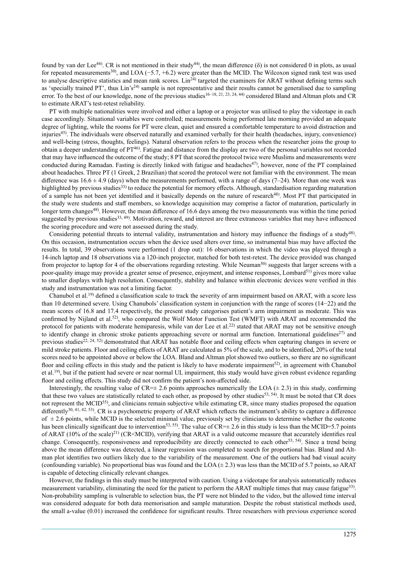found by van der Lee<sup>[44](#page-7-14))</sup>. CR is not mentioned in their study<sup>44</sup>), the mean difference ( $\delta$ ) is not considered 0 in plots, as usual for repeated measurements<sup>30</sup>), and LOA (−5.7, +6.2) were greater than the MCID. The Wilcoxon signed rank test was used to analyse descriptive statistics and mean rank scores. Lin<sup>[24](#page-7-5))</sup> targeted the examiners for ARAT without defining terms such as 'specially trained PT', thus Lin's<sup>[24](#page-7-5))</sup> sample is not representative and their results cannot be generalised due to sampling error. To the best of our knowledge, none of the previous studies<sup>16–18, 21, 23, 24, 44)</sup> considered Bland and Altman plots and CR to estimate ARAT's test-retest reliability.

PT with multiple nationalities were involved and either a laptop or a projector was utilised to play the videotape in each case accordingly. Situational variables were controlled; measurements being performed late morning provided an adequate degree of lighting, while the rooms for PT were clean, quiet and ensured a comfortable temperature to avoid distraction and injuries[45\)](#page-7-15) . The individuals were observed naturally and examined verbally for their health (headaches, injury, convenience) and well-being (stress, thoughts, feelings). Natural observation refers to the process when the researcher joins the group to obtain a deeper understanding of  $PT^{46}$ . Fatigue and distance from the display are two of the personal variables not recorded that may have influenced the outcome of the study; 8 PT that scored the protocol twice were Muslims and measurements were conducted during Ramadan. Fasting is directly linked with fatigue and headaches<sup>47)</sup>, however, none of the PT complained about headaches. Three PT (1 Greek, 2 Brazilian) that scored the protocol were not familiar with the environment. The mean difference was  $16.6 \pm 4.9$  (days) when the measurements performed, with a range of days (7–24). More than one week was highlighted by previous studies<sup>[33](#page-7-13)</sup> to reduce the potential for memory effects. Although, standardisation regarding maturation of a sample has not been yet identified and it basically depends on the nature of research<sup>[48\)](#page-7-18)</sup>. Most PT that participated in the study were students and staff members, so knowledge acquisition may comprise a factor of maturation, particularly in longer term changes<sup>48)</sup>. However, the mean difference of 16.6 days among the two measurements was within the time period suggested by previous studies<sup>33, 49</sup>). Motivation, reward, and interest are three extraneous variables that may have influenced the scoring procedure and were not assessed during the study.

Considering potential threats to internal validity, instrumentation and history may influence the findings of a study $48$ . On this occasion, instrumentation occurs when the device used alters over time, so instrumental bias may have affected the results. In total, 39 observations were performed (1 drop out): 16 observations in which the video was played through a 14-inch laptop and 18 observations via a 120-inch projector, matched for both test-retest. The device provided was changed from projector to laptop for 4 of the observations regarding retesting. While Neuman<sup>[50](#page-7-19))</sup> suggests that larger screens with a poor-quality image may provide a greater sense of presence, enjoyment, and intense responses, Lombard<sup>51)</sup> gives more value to smaller displays with high resolution. Consequently, stability and balance within electronic devices were verified in this study and instrumentation was not a limiting factor.

Chanubol et al.<sup>[19](#page-6-14))</sup> defined a classification scale to track the severity of arm impairment based on ARAT, with a score less than 10 determined severe. Using Chanubols' classification system in conjunction with the range of scores (14−22) and the mean scores of 16.8 and 17.4 respectively, the present study categorises patient's arm impairment as moderate. This was confirmed by Nijland et al.<sup>[52](#page-7-21))</sup>, who compared the Wolf Motor Function Test (WMFT) with ARAT and recommended the protocol for patients with moderate hemiparesis, while van der Lee et al.<sup>[22](#page-6-15)</sup>) stated that ARAT may not be sensitive enough to identify change in chronic stroke patients approaching severe or normal arm function. International guidelines<sup>[27](#page-7-2))</sup> and previous studies<sup>22, 24, 52)</sup> demonstrated that ARAT has notable floor and ceiling effects when capturing changes in severe or mild stroke patients. Floor and ceiling effects of ARAT are calculated as 5% of the scale, and to be identified, 20% of the total scores need to be appointed above or below the LOA. Bland and Altman plot showed two outliers, so there are no significant floor and ceiling effects in this study and the patient is likely to have moderate impairment<sup>[52\)](#page-7-21)</sup>, in agreement with Chanubol et al.<sup>19</sup>), but if the patient had severe or near normal UL impairment, this study would have given robust evidence regarding floor and ceiling effects. This study did not confirm the patient's non-affected side.

Interestingly, the resulting value of CR= $\pm$  2.6 points approaches numerically the LOA ( $\pm$  2.3) in this study, confirming that these two values are statistically related to each other, as proposed by other studies<sup>53, 54</sup>). It must be noted that CR does not represent the MCID<sup>55</sup>), and clinicians remain subjective while estimating CR, since many studies proposed the equation differently<sup>30, 41, 42, 53</sup>). CR is a psychometric property of ARAT which reflects the instrument's ability to capture a difference of  $\pm$  2.6 points, while MCID is the selected minimal value, previously set by clinicians to determine whether the outcome has been clinically significant due to intervention<sup>[53, 55](#page-7-22)</sup>). The value of  $CR = \pm 2.6$  in this study is less than the MCID=5.7 points of ARAT (10% of the scale)<sup>[21](#page-6-10))</sup> (CR<MCID), verifying that ARAT is a valid outcome measure that accurately identifies real change. Consequently, responsiveness and reproducibility are directly connected to each other<sup>[53, 54](#page-7-22)</sup>). Since a trend being above the mean difference was detected, a linear regression was completed to search for proportional bias. Bland and Altman plot identifies two outliers likely due to the variability of the measurement. One of the outliers had bad visual acuity (confounding variable). No proportional bias was found and the LOA  $(\pm 2.3)$  was less than the MCID of 5.7 points, so ARAT is capable of detecting clinically relevant changes.

However, the findings in this study must be interpreted with caution. Using a videotape for analysis automatically reduces measurement variability, eliminating the need for the patient to perform the ARAT multiple times that may cause fatigue<sup>[33](#page-7-13)</sup>. Non-probability sampling is vulnerable to selection bias, the PT were not blinded to the video, but the allowed time interval was considered adequate for both data memorisation and sample maturation. Despite the robust statistical methods used, the small a-value (0.01) increased the confidence for significant results. Three researchers with previous experience scored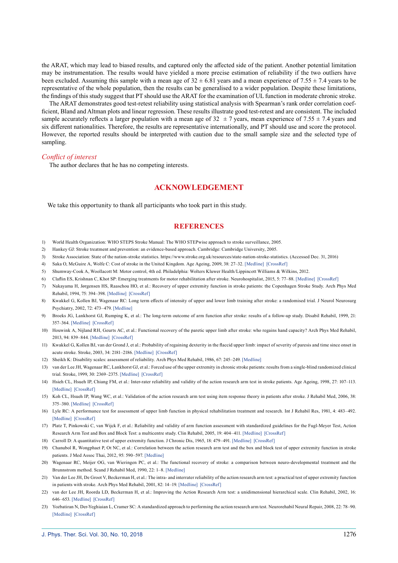the ARAT, which may lead to biased results, and captured only the affected side of the patient. Another potential limitation may be instrumentation. The results would have yielded a more precise estimation of reliability if the two outliers have been excluded. Assuming this sample with a mean age of  $32 \pm 6.81$  years and a mean experience of 7.55  $\pm$  7.4 years to be representative of the whole population, then the results can be generalised to a wider population. Despite these limitations, the findings of this study suggest that PT should use the ARAT for the examination of UL function in moderate chronic stroke.

The ARAT demonstrates good test-retest reliability using statistical analysis with Spearman's rank order correlation coefficient, Bland and Altman plots and linear regression. These results illustrate good test-retest and are consistent. The included sample accurately reflects a larger population with a mean age of  $32 \pm 7$  years, mean experience of  $7.55 \pm 7.4$  years and six different nationalities. Therefore, the results are representative internationally, and PT should use and score the protocol. However, the reported results should be interpreted with caution due to the small sample size and the selected type of sampling.

#### *Conflict of interest*

The author declares that he has no competing interests.

### **ACKNOWLEDGEMENT**

We take this opportunity to thank all participants who took part in this study.

#### **REFERENCES**

- <span id="page-6-0"></span>1) World Health Organization: WHO STEPS Stroke Manual: The WHO STEPwise approach to stroke surveillance, 2005.
- <span id="page-6-1"></span>2) Hankey GJ: Stroke treatment and prevention: an evidence-based approach. Cambridge: Cambridge University, 2005.
- 3) Stroke Association: State of the nation-stroke statistics. https://www.stroke.org.uk/resources/state-nation-stroke-statistics. (Accessed Dec. 31, 2016)
- <span id="page-6-2"></span>4) Saka O, McGuire A, Wolfe C: Cost of stroke in the United Kingdom. Age Ageing, 2009, 38: 27–32. [\[Medline\]](http://www.ncbi.nlm.nih.gov/pubmed/19141506?dopt=Abstract) [\[CrossRef\]](http://dx.doi.org/10.1093/ageing/afn281)
- <span id="page-6-3"></span>5) Shumway-Cook A, Woollacott M: Motor control, 4th ed. Philadelphia: Wolters Kluwer Health/Lippincott Williams & Wilkins, 2012.
- <span id="page-6-4"></span>6) Claflin ES, Krishnan C, Khot SP: Emerging treatments for motor rehabilitation after stroke. Neurohospitalist, 2015, 5: 77–88. [\[Medline\]](http://www.ncbi.nlm.nih.gov/pubmed/25829989?dopt=Abstract) [\[CrossRef\]](http://dx.doi.org/10.1177/1941874414561023)
- 7) Nakayama H, Jørgensen HS, Raaschou HO, et al.: Recovery of upper extremity function in stroke patients: the Copenhagen Stroke Study. Arch Phys Med Rehabil, 1994, 75: 394–398. [\[Medline\]](http://www.ncbi.nlm.nih.gov/pubmed/8172497?dopt=Abstract) [\[CrossRef\]](http://dx.doi.org/10.1016/0003-9993(94)90161-9)
- 8) Kwakkel G, Kollen BJ, Wagenaar RC: Long term effects of intensity of upper and lower limb training after stroke: a randomised trial. J Neurol Neurosurg Psychiatry, 2002, 72: 473–479. [\[Medline\]](http://www.ncbi.nlm.nih.gov/pubmed/11909906?dopt=Abstract)
- 9) Broeks JG, Lankhorst GJ, Rumping K, et al.: The long-term outcome of arm function after stroke: results of a follow-up study. Disabil Rehabil, 1999, 21: 357–364. [\[Medline\]](http://www.ncbi.nlm.nih.gov/pubmed/10503976?dopt=Abstract) [\[CrossRef\]](http://dx.doi.org/10.1080/096382899297459)
- 10) Houwink A, Nijland RH, Geurts AC, et al.: Functional recovery of the paretic upper limb after stroke: who regains hand capacity? Arch Phys Med Rehabil, 2013, 94: 839–844. [\[Medline\]](http://www.ncbi.nlm.nih.gov/pubmed/23201317?dopt=Abstract) [\[CrossRef\]](http://dx.doi.org/10.1016/j.apmr.2012.11.031)
- 11) Kwakkel G, Kollen BJ, van der Grond J, et al.: Probability of regaining dexterity in the flaccid upper limb: impact of severity of paresis and time since onset in acute stroke. Stroke, 2003, 34: 2181–2186. [\[Medline\]](http://www.ncbi.nlm.nih.gov/pubmed/12907818?dopt=Abstract) [\[CrossRef\]](http://dx.doi.org/10.1161/01.STR.0000087172.16305.CD)
- <span id="page-6-5"></span>12) Sheikh K: Disability scales: assessment of reliability. Arch Phys Med Rehabil, 1986, 67: 245–249. [\[Medline\]](http://www.ncbi.nlm.nih.gov/pubmed/3964058?dopt=Abstract)
- 13) van der Lee JH, Wagenaar RC, Lankhorst GJ, et al.: Forced use of the upper extremity in chronic stroke patients: results from a single-blind randomized clinical trial. Stroke, 1999, 30: 2369–2375. [\[Medline\]](http://www.ncbi.nlm.nih.gov/pubmed/10548673?dopt=Abstract) [\[CrossRef\]](http://dx.doi.org/10.1161/01.STR.30.11.2369)
- <span id="page-6-6"></span>14) Hsieh CL, Hsueh IP, Chiang FM, et al.: Inter-rater reliability and validity of the action research arm test in stroke patients. Age Ageing, 1998, 27: 107–113. [\[Medline\]](http://www.ncbi.nlm.nih.gov/pubmed/16296669?dopt=Abstract) [\[CrossRef\]](http://dx.doi.org/10.1093/ageing/27.2.107)
- <span id="page-6-13"></span>15) Koh CL, Hsueh IP, Wang WC, et al.: Validation of the action research arm test using item response theory in patients after stroke. J Rehabil Med, 2006, 38: 375–380. [\[Medline\]](http://www.ncbi.nlm.nih.gov/pubmed/17067971?dopt=Abstract) [\[CrossRef\]](http://dx.doi.org/10.1080/16501970600803252)
- <span id="page-6-8"></span>16) Lyle RC: A performance test for assessment of upper limb function in physical rehabilitation treatment and research. Int J Rehabil Res, 1981, 4: 483–492. [\[Medline\]](http://www.ncbi.nlm.nih.gov/pubmed/7333761?dopt=Abstract) [\[CrossRef\]](http://dx.doi.org/10.1097/00004356-198112000-00001)
- <span id="page-6-11"></span>17) Platz T, Pinkowski C, van Wijck F, et al.: Reliability and validity of arm function assessment with standardized guidelines for the Fugl-Meyer Test, Action Research Arm Test and Box and Block Test: a multicentre study. Clin Rehabil, 2005, 19: 404–411. [\[Medline\]](http://www.ncbi.nlm.nih.gov/pubmed/15929509?dopt=Abstract) [\[CrossRef\]](http://dx.doi.org/10.1191/0269215505cr832oa)
- <span id="page-6-7"></span>18) Carroll D: A quantitative test of upper extremity function. J Chronic Dis, 1965, 18: 479–491. [\[Medline\]](http://www.ncbi.nlm.nih.gov/pubmed/14293031?dopt=Abstract) [\[CrossRef\]](http://dx.doi.org/10.1016/0021-9681(65)90030-5)
- <span id="page-6-14"></span>19) Chanubol R, Wongphaet P, Ot NC, et al.: Correlation between the action research arm test and the box and block test of upper extremity function in stroke patients. J Med Assoc Thai, 2012, 95: 590–597. [\[Medline\]](http://www.ncbi.nlm.nih.gov/pubmed/22612016?dopt=Abstract)
- <span id="page-6-9"></span>20) Wagenaar RC, Meijer OG, van Wieringen PC, et al.: The functional recovery of stroke: a comparison between neuro-developmental treatment and the Brunnstrom method. Scand J Rehabil Med, 1990, 22: 1–8. [\[Medline\]](http://www.ncbi.nlm.nih.gov/pubmed/2326602?dopt=Abstract)
- <span id="page-6-10"></span>21) Van der Lee JH, De Groot V, Beckerman H, et al.: The intra- and interrater reliability of the action research arm test: a practical test of upper extremity function in patients with stroke. Arch Phys Med Rehabil, 2001, 82: 14–19. [\[Medline\]](http://www.ncbi.nlm.nih.gov/pubmed/11239280?dopt=Abstract) [\[CrossRef\]](http://dx.doi.org/10.1053/apmr.2001.18668)
- <span id="page-6-15"></span>22) van der Lee JH, Roorda LD, Beckerman H, et al.: Improving the Action Research Arm test: a unidimensional hierarchical scale. Clin Rehabil, 2002, 16: 646–653. [\[Medline\]](http://www.ncbi.nlm.nih.gov/pubmed/12392340?dopt=Abstract) [\[CrossRef\]](http://dx.doi.org/10.1191/0269215502cr534oa)
- <span id="page-6-12"></span>23) Yozbatiran N, Der-Yeghiaian L, Cramer SC: A standardized approach to performing the action research arm test. Neurorehabil Neural Repair, 2008, 22: 78–90. [\[Medline\]](http://www.ncbi.nlm.nih.gov/pubmed/17704352?dopt=Abstract) [\[CrossRef\]](http://dx.doi.org/10.1177/1545968307305353)